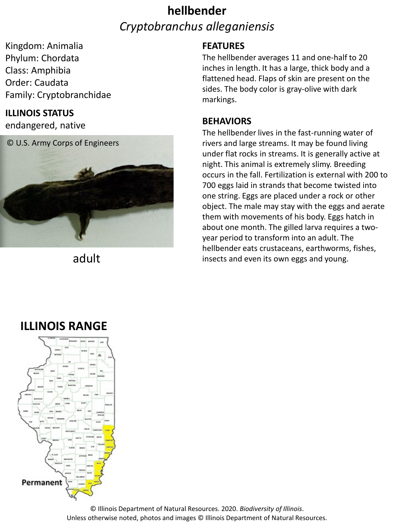# **hellbender** *Cryptobranchus alleganiensis*

Kingdom: Animalia Phylum: Chordata Class: Amphibia Order: Caudata Family: Cryptobranchidae

### **ILLINOIS STATUS**

endangered, native



adult

### **FEATURES**

The hellbender averages 11 and one-half to 20 inches in length. It has a large, thick body and a flattened head. Flaps of skin are present on the sides. The body color is gray-olive with dark markings.

#### **BEHAVIORS**

The hellbender lives in the fast-running water of rivers and large streams. It may be found living under flat rocks in streams. It is generally active at night. This animal is extremely slimy. Breeding occurs in the fall. Fertilization is external with 200 to 700 eggs laid in strands that become twisted into one string. Eggs are placed under a rock or other object. The male may stay with the eggs and aerate them with movements of his body. Eggs hatch in about one month. The gilled larva requires a twoyear period to transform into an adult. The hellbender eats crustaceans, earthworms, fishes, insects and even its own eggs and young.

### **ILLINOIS RANGE**



© Illinois Department of Natural Resources. 2020. *Biodiversity of Illinois*. Unless otherwise noted, photos and images © Illinois Department of Natural Resources.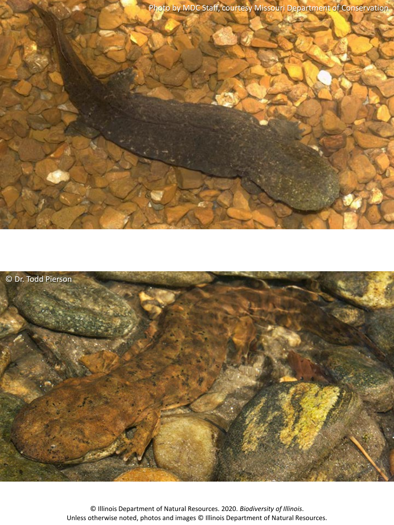Photo by MDC Staff, courtesy Missouri Department of Conservation



© Illinois Department of Natural Resources. 2020. *Biodiversity of Illinois*. Unless otherwise noted, photos and images © Illinois Department of Natural Resources.